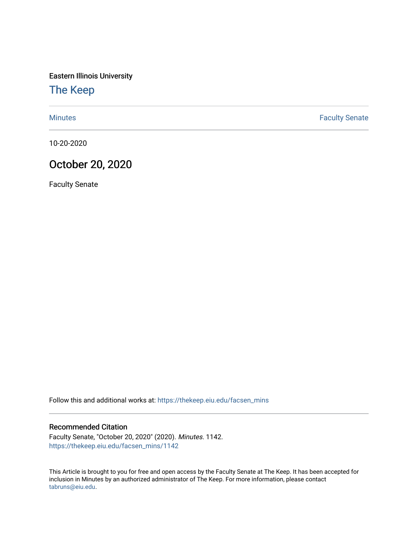Eastern Illinois University

[The Keep](https://thekeep.eiu.edu/) 

[Minutes](https://thekeep.eiu.edu/facsen_mins) **Faculty Senate** 

10-20-2020

## October 20, 2020

Faculty Senate

Follow this and additional works at: [https://thekeep.eiu.edu/facsen\\_mins](https://thekeep.eiu.edu/facsen_mins?utm_source=thekeep.eiu.edu%2Ffacsen_mins%2F1142&utm_medium=PDF&utm_campaign=PDFCoverPages) 

## Recommended Citation

Faculty Senate, "October 20, 2020" (2020). Minutes. 1142. [https://thekeep.eiu.edu/facsen\\_mins/1142](https://thekeep.eiu.edu/facsen_mins/1142?utm_source=thekeep.eiu.edu%2Ffacsen_mins%2F1142&utm_medium=PDF&utm_campaign=PDFCoverPages) 

This Article is brought to you for free and open access by the Faculty Senate at The Keep. It has been accepted for inclusion in Minutes by an authorized administrator of The Keep. For more information, please contact [tabruns@eiu.edu.](mailto:tabruns@eiu.edu)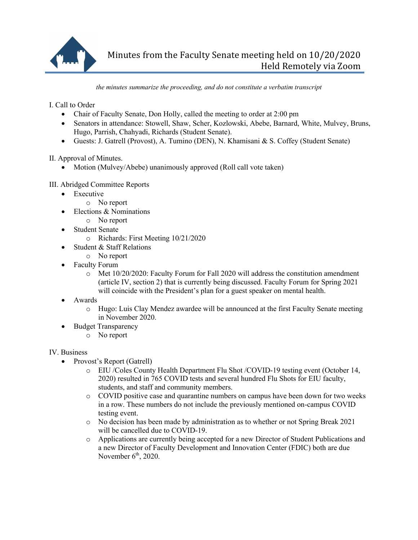

*the minutes summarize the proceeding, and do not constitute a verbatim transcript*

I. Call to Order

- Chair of Faculty Senate, Don Holly, called the meeting to order at 2:00 pm
- Senators in attendance: Stowell, Shaw, Scher, Kozlowski, Abebe, Barnard, White, Mulvey, Bruns, Hugo, Parrish, Chahyadi, Richards (Student Senate).
- Guests: J. Gatrell (Provost), A. Tumino (DEN), N. Khamisani & S. Coffey (Student Senate)

II. Approval of Minutes.

• Motion (Mulvey/Abebe) unanimously approved (Roll call vote taken)

## III. Abridged Committee Reports

- Executive
	- o No report
- Elections & Nominations
	- o No report
- Student Senate
	- o Richards: First Meeting 10/21/2020
- Student & Staff Relations
- o No report
- Faculty Forum
	- o Met 10/20/2020: Faculty Forum for Fall 2020 will address the constitution amendment (article IV, section 2) that is currently being discussed. Faculty Forum for Spring 2021 will coincide with the President's plan for a guest speaker on mental health.
- Awards
	- o Hugo: Luis Clay Mendez awardee will be announced at the first Faculty Senate meeting in November 2020.
- Budget Transparency
	- o No report

## IV. Business

- Provost's Report (Gatrell)
	- o EIU /Coles County Health Department Flu Shot /COVID-19 testing event (October 14, 2020) resulted in 765 COVID tests and several hundred Flu Shots for EIU faculty, students, and staff and community members.
	- o COVID positive case and quarantine numbers on campus have been down for two weeks in a row. These numbers do not include the previously mentioned on-campus COVID testing event.
	- o No decision has been made by administration as to whether or not Spring Break 2021 will be cancelled due to COVID-19.
	- o Applications are currently being accepted for a new Director of Student Publications and a new Director of Faculty Development and Innovation Center (FDIC) both are due November  $6<sup>th</sup>$ , 2020.